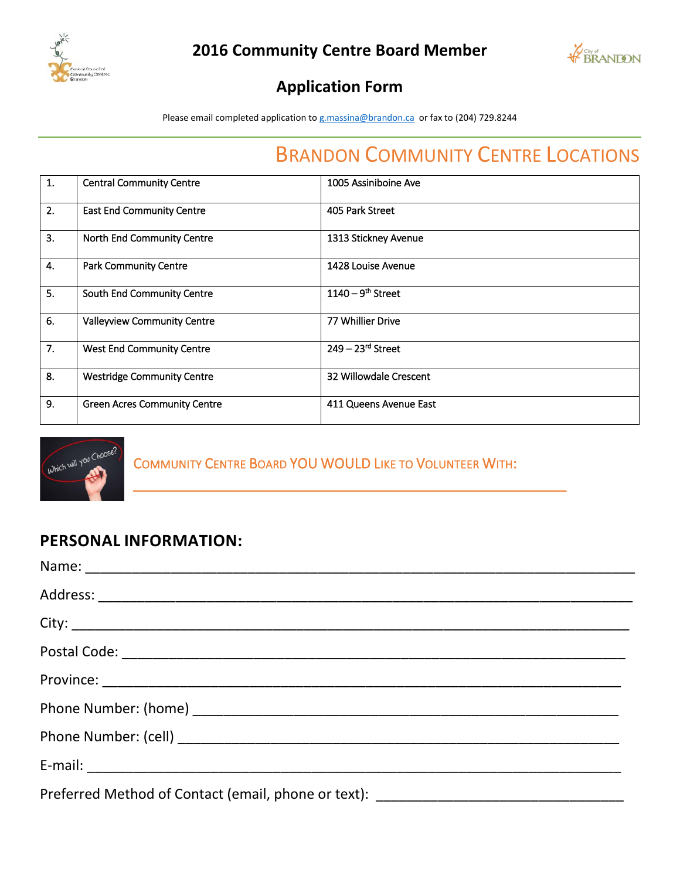

**2016 Community Centre Board Member**



# **Application Form**

Please email completed application to [g.massina@brandon.ca](mailto:g.massina@brandon.ca) or fax to (204) 729.8244

# BRANDON COMMUNITY CENTRE LOCATIONS

| 1. | <b>Central Community Centre</b>     | 1005 Assiniboine Ave            |
|----|-------------------------------------|---------------------------------|
| 2. | <b>East End Community Centre</b>    | 405 Park Street                 |
| 3. | North End Community Centre          | 1313 Stickney Avenue            |
| 4. | <b>Park Community Centre</b>        | 1428 Louise Avenue              |
| 5. | South End Community Centre          | $1140 - 9$ <sup>th</sup> Street |
| 6. | <b>Valleyview Community Centre</b>  | 77 Whillier Drive               |
| 7. | <b>West End Community Centre</b>    | $249 - 23$ <sup>rd</sup> Street |
| 8. | <b>Westridge Community Centre</b>   | 32 Willowdale Crescent          |
| 9. | <b>Green Acres Community Centre</b> | 411 Queens Avenue East          |



### COMMUNITY CENTRE BOARD YOU WOULD LIKE TO VOLUNTEER WITH:

 $\_$  , and the set of the set of the set of the set of the set of the set of the set of the set of the set of the set of the set of the set of the set of the set of the set of the set of the set of the set of the set of th

#### **PERSONAL INFORMATION:**

| Preferred Method of Contact (email, phone or text): ____________________________ |  |
|----------------------------------------------------------------------------------|--|